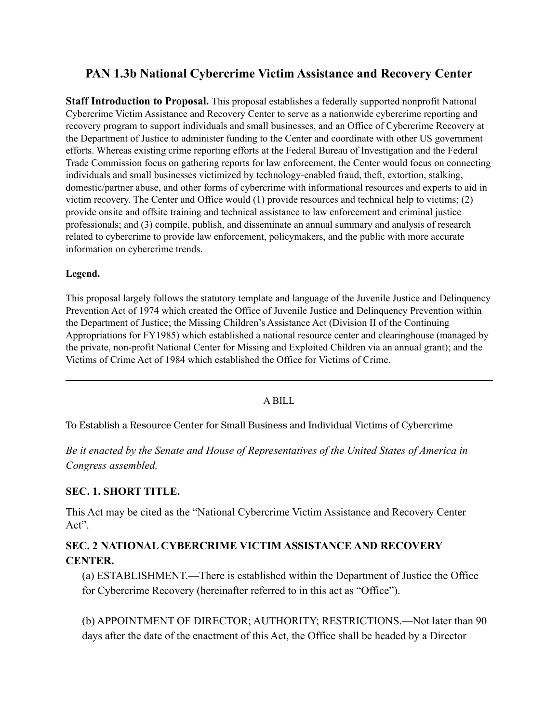# **PAN 1.3b National Cybercrime Victim Assistance and Recovery Center**

**Staff Introduction to Proposal.** This proposal establishes a federally supported nonprofit National Cybercrime Victim Assistance and Recovery Center to serve as a nationwide cybercrime reporting and recovery program to support individuals and small businesses, and an Office of Cybercrime Recovery at the Department of Justice to administer funding to the Center and coordinate with other US government efforts. Whereas existing crime reporting efforts at the Federal Bureau of Investigation and the Federal Trade Commission focus on gathering reports for law enforcement, the Center would focus on connecting individuals and small businesses victimized by technology-enabled fraud, theft, extortion, stalking, domestic/partner abuse, and other forms of cybercrime with informational resources and experts to aid in victim recovery. The Center and Office would (1) provide resources and technical help to victims; (2) provide onsite and offsite training and technical assistance to law enforcement and criminal justice professionals; and (3) compile, publish, and disseminate an annual summary and analysis of research related to cybercrime to provide law enforcement, policymakers, and the public with more accurate information on cybercrime trends.

#### **Legend.**

This proposal largely follows the statutory template and language of the Juvenile Justice and Delinquency Prevention Act of 1974 which created the Office of Juvenile Justice and Delinquency Prevention within the Department of Justice; the Missing Children's Assistance Act (Division II of the Continuing Appropriations for FY1985) which established a national resource center and clearinghouse (managed by the private, non-profit National Center for Missing and Exploited Children via an annual grant); and the Victims of Crime Act of 1984 which established the Office for Victims of Crime.

#### A BILL

To Establish a Resource Center for Small Business and Individual Victims of Cybercrime

*Be it enacted by the Senate and House of Representatives of the United States of America in Congress assembled,*

### **SEC. 1. SHORT TITLE.**

This Act may be cited as the "National Cybercrime Victim Assistance and Recovery Center Act".

## **SEC. 2 NATIONAL CYBERCRIME VICTIM ASSISTANCE AND RECOVERY CENTER.**

(a) ESTABLISHMENT.—There is established within the Department of Justice the Office for Cybercrime Recovery (hereinafter referred to in this act as "Office").

(b) APPOINTMENT OF DIRECTOR; AUTHORITY; RESTRICTIONS.—Not later than 90 days after the date of the enactment of this Act, the Office shall be headed by a Director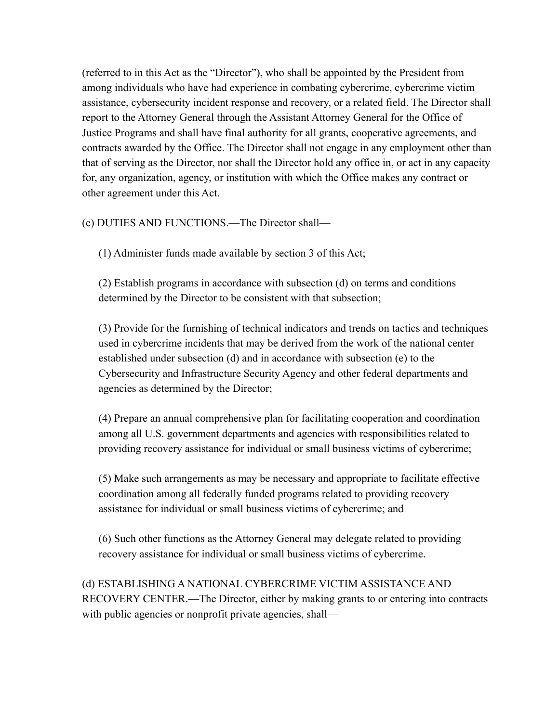(referred to in this Act as the "Director"), who shall be appointed by the President from among individuals who have had experience in combating cybercrime, cybercrime victim assistance, cybersecurity incident response and recovery, or a related field. The Director shall report to the Attorney General through the Assistant Attorney General for the Office of Justice Programs and shall have final authority for all grants, cooperative agreements, and contracts awarded by the Office. The Director shall not engage in any employment other than that of serving as the Director, nor shall the Director hold any office in, or act in any capacity for, any organization, agency, or institution with which the Office makes any contract or other agreement under this Act.

(c) DUTIES AND FUNCTIONS.—The Director shall—

(1) Administer funds made available by section 3 of this Act;

(2) Establish programs in accordance with subsection (d) on terms and conditions determined by the Director to be consistent with that subsection;

(3) Provide for the furnishing of technical indicators and trends on tactics and techniques used in cybercrime incidents that may be derived from the work of the national center established under subsection (d) and in accordance with subsection (e) to the Cybersecurity and Infrastructure Security Agency and other federal departments and agencies as determined by the Director;

(4) Prepare an annual comprehensive plan for facilitating cooperation and coordination among all U.S. government departments and agencies with responsibilities related to providing recovery assistance for individual or small business victims of cybercrime;

(5) Make such arrangements as may be necessary and appropriate to facilitate effective coordination among all federally funded programs related to providing recovery assistance for individual or small business victims of cybercrime; and

(6) Such other functions as the Attorney General may delegate related to providing recovery assistance for individual or small business victims of cybercrime.

(d) ESTABLISHING A NATIONAL CYBERCRIME VICTIM ASSISTANCE AND RECOVERY CENTER.—The Director, either by making grants to or entering into contracts with public agencies or nonprofit private agencies, shall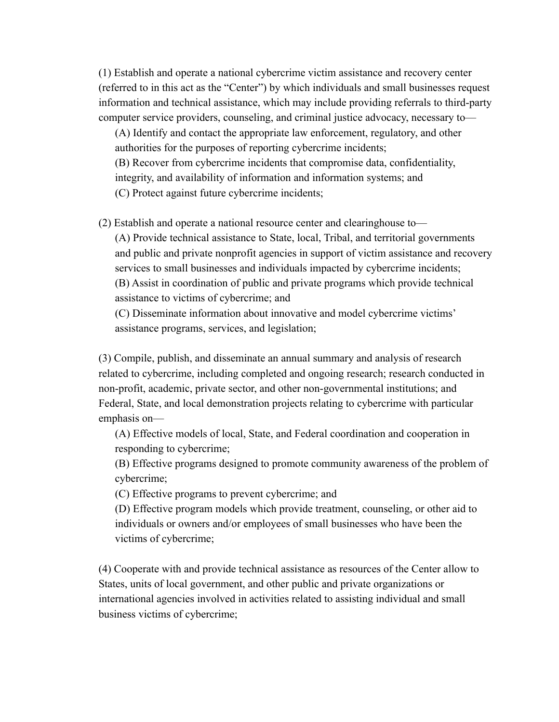(1) Establish and operate a national cybercrime victim assistance and recovery center (referred to in this act as the "Center") by which individuals and small businesses request information and technical assistance, which may include providing referrals to third-party computer service providers, counseling, and criminal justice advocacy, necessary to—

(A) Identify and contact the appropriate law enforcement, regulatory, and other authorities for the purposes of reporting cybercrime incidents; (B) Recover from cybercrime incidents that compromise data, confidentiality, integrity, and availability of information and information systems; and

(C) Protect against future cybercrime incidents;

(2) Establish and operate a national resource center and clearinghouse to— (A) Provide technical assistance to State, local, Tribal, and territorial governments and public and private nonprofit agencies in support of victim assistance and recovery services to small businesses and individuals impacted by cybercrime incidents; (B) Assist in coordination of public and private programs which provide technical assistance to victims of cybercrime; and

(C) Disseminate information about innovative and model cybercrime victims' assistance programs, services, and legislation;

(3) Compile, publish, and disseminate an annual summary and analysis of research related to cybercrime, including completed and ongoing research; research conducted in non-profit, academic, private sector, and other non-governmental institutions; and Federal, State, and local demonstration projects relating to cybercrime with particular emphasis on—

(A) Effective models of local, State, and Federal coordination and cooperation in responding to cybercrime;

(B) Effective programs designed to promote community awareness of the problem of cybercrime;

(C) Effective programs to prevent cybercrime; and

(D) Effective program models which provide treatment, counseling, or other aid to individuals or owners and/or employees of small businesses who have been the victims of cybercrime;

(4) Cooperate with and provide technical assistance as resources of the Center allow to States, units of local government, and other public and private organizations or international agencies involved in activities related to assisting individual and small business victims of cybercrime;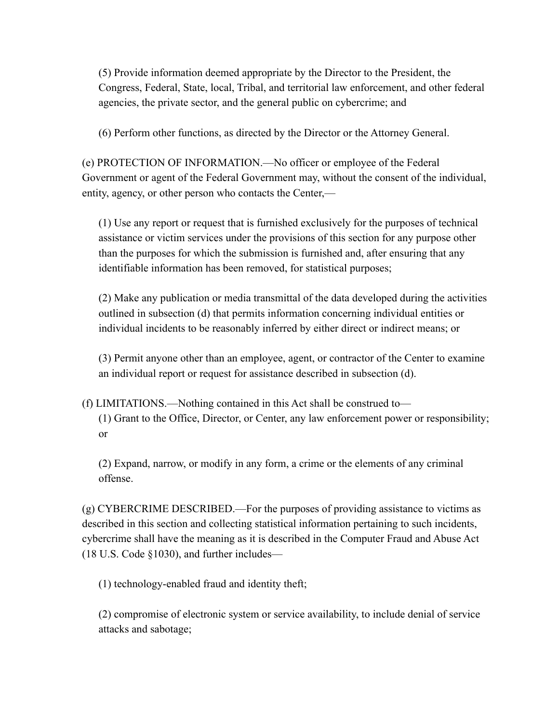(5) Provide information deemed appropriate by the Director to the President, the Congress, Federal, State, local, Tribal, and territorial law enforcement, and other federal agencies, the private sector, and the general public on cybercrime; and

(6) Perform other functions, as directed by the Director or the Attorney General.

(e) PROTECTION OF INFORMATION.—No officer or employee of the Federal Government or agent of the Federal Government may, without the consent of the individual, entity, agency, or other person who contacts the Center,—

(1) Use any report or request that is furnished exclusively for the purposes of technical assistance or victim services under the provisions of this section for any purpose other than the purposes for which the submission is furnished and, after ensuring that any identifiable information has been removed, for statistical purposes;

(2) Make any publication or media transmittal of the data developed during the activities outlined in subsection (d) that permits information concerning individual entities or individual incidents to be reasonably inferred by either direct or indirect means; or

(3) Permit anyone other than an employee, agent, or contractor of the Center to examine an individual report or request for assistance described in subsection (d).

(f) LIMITATIONS.—Nothing contained in this Act shall be construed to— (1) Grant to the Office, Director, or Center, any law enforcement power or responsibility; or

(2) Expand, narrow, or modify in any form, a crime or the elements of any criminal offense.

(g) CYBERCRIME DESCRIBED.—For the purposes of providing assistance to victims as described in this section and collecting statistical information pertaining to such incidents, cybercrime shall have the meaning as it is described in the Computer Fraud and Abuse Act (18 U.S. Code §1030), and further includes—

(1) technology-enabled fraud and identity theft;

(2) compromise of electronic system or service availability, to include denial of service attacks and sabotage;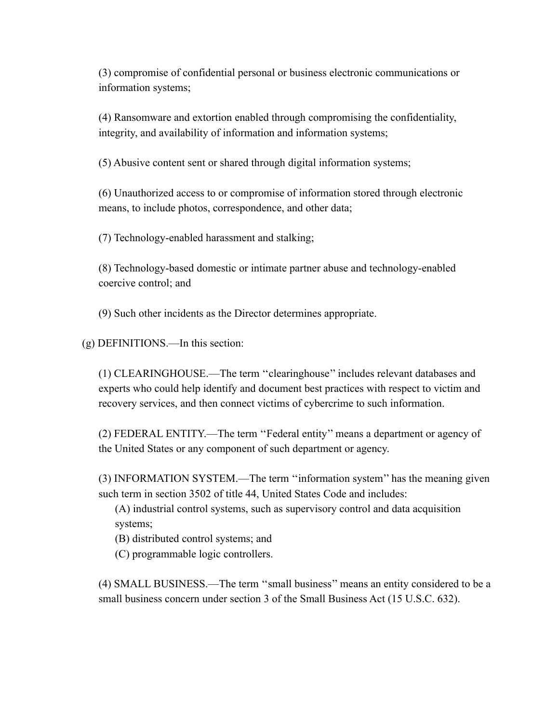(3) compromise of confidential personal or business electronic communications or information systems;

(4) Ransomware and extortion enabled through compromising the confidentiality, integrity, and availability of information and information systems;

(5) Abusive content sent or shared through digital information systems;

(6) Unauthorized access to or compromise of information stored through electronic means, to include photos, correspondence, and other data;

(7) Technology-enabled harassment and stalking;

(8) Technology-based domestic or intimate partner abuse and technology-enabled coercive control; and

(9) Such other incidents as the Director determines appropriate.

(g) DEFINITIONS.—In this section:

(1) CLEARINGHOUSE.—The term ''clearinghouse'' includes relevant databases and experts who could help identify and document best practices with respect to victim and recovery services, and then connect victims of cybercrime to such information.

(2) FEDERAL ENTITY.—The term ''Federal entity'' means a department or agency of the United States or any component of such department or agency.

(3) INFORMATION SYSTEM.—The term ''information system'' has the meaning given such term in section 3502 of title 44, United States Code and includes:

(A) industrial control systems, such as supervisory control and data acquisition systems;

(B) distributed control systems; and

(C) programmable logic controllers.

(4) SMALL BUSINESS.—The term ''small business'' means an entity considered to be a small business concern under section 3 of the Small Business Act (15 U.S.C. 632).